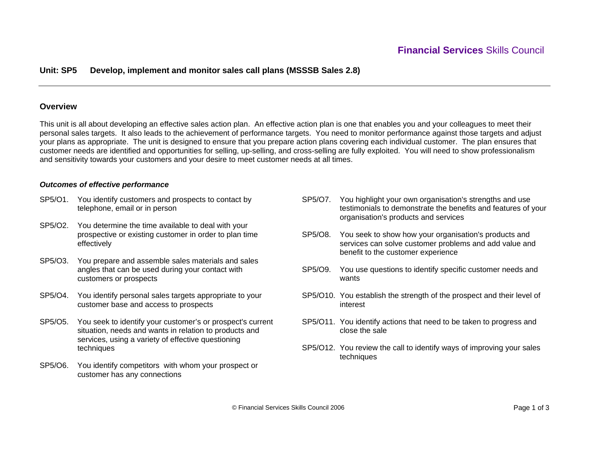## **Unit: SP5 Develop, implement and monitor sales call plans (MSSSB Sales 2.8)**

## **Overview**

This unit is all about developing an effective sales action plan. An effective action plan is one that enables you and your colleagues to meet their personal sales targets. It also leads to the achievement of performance targets. You need to monitor performance against those targets and adjust your plans as appropriate. The unit is designed to ensure that you prepare action plans covering each individual customer. The plan ensures that customer needs are identified and opportunities for selling, up-selling, and cross-selling are fully exploited. You will need to show professionalism and sensitivity towards your customers and your desire to meet customer needs at all times.

## *Outcomes of effective performance*

- SP5/O1. You identify customers and prospects to contact by telephone, email or in person
- SP5/O2. You determine the time available to deal with your prospective or existing customer in order to plan time effectively
- SP5/O3. You prepare and assemble sales materials and sales angles that can be used during your contact with customers or prospects
- SP5/O4. You identify personal sales targets appropriate to your customer base and access to prospects
- SP5/O5. You seek to identify your customer's or prospect's current situation, needs and wants in relation to products and services, using a variety of effective questioning techniques
- SP5/O6. You identify competitors with whom your prospect or customer has any connections
- SP5/O7. You highlight your own organisation's strengths and use testimonials to demonstrate the benefits and features of your organisation's products and services
- SP5/O8. You seek to show how your organisation's products and services can solve customer problems and add value and benefit to the customer experience
- SP5/O9. You use questions to identify specific customer needs and wants
- SP5/O10. You establish the strength of the prospect and their level of interest
- SP5/O11. You identify actions that need to be taken to progress and close the sale
- SP5/O12. You review the call to identify ways of improving your sales techniques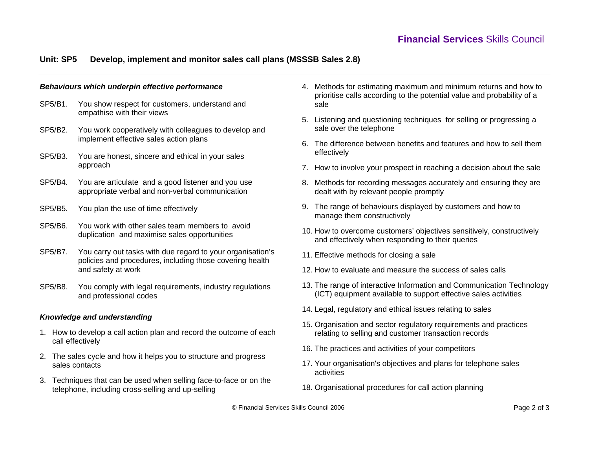# **Unit: SP5 Develop, implement and monitor sales call plans (MSSSB Sales 2.8)**

## *Behaviours which underpin effective performance*

- SP5/B1. You show respect for customers, understand and empathise with their views
- SP5/B2. You work cooperatively with colleagues to develop and implement effective sales action plans
- SP5/B3. You are honest, sincere and ethical in your sales approach
- SP5/B4. You are articulate and a good listener and you use appropriate verbal and non-verbal communication
- SP5/B5. You plan the use of time effectively
- SP5/B6. You work with other sales team members to avoid duplication and maximise sales opportunities
- SP5/B7. You carry out tasks with due regard to your organisation's policies and procedures, including those covering health and safety at work
- SP5/B8. You comply with legal requirements, industry regulations and professional codes

## *Knowledge and understanding*

- 1. How to develop a call action plan and record the outcome of each call effectively
- 2. The sales cycle and how it helps you to structure and progress sales contacts
- 3. Techniques that can be used when selling face-to-face or on the telephone, including cross-selling and up-selling
- 4. Methods for estimating maximum and minimum returns and how to prioritise calls according to the potential value and probability of a sale
- 5. Listening and questioning techniques for selling or progressing a sale over the telephone
- 6. The difference between benefits and features and how to sell them effectively
- 7. How to involve your prospect in reaching a decision about the sale
- 8. Methods for recording messages accurately and ensuring they are dealt with by relevant people promptly
- 9. The range of behaviours displayed by customers and how to manage them constructively
- 10. How to overcome customers' objectives sensitively, constructively and effectively when responding to their queries
- 11. Effective methods for closing a sale
- 12. How to evaluate and measure the success of sales calls
- 13. The range of interactive Information and Communication Technology (ICT) equipment available to support effective sales activities
- 14. Legal, regulatory and ethical issues relating to sales
- 15. Organisation and sector regulatory requirements and practices relating to selling and customer transaction records
- 16. The practices and activities of your competitors
- 17. Your organisation's objectives and plans for telephone sales activities
- 18. Organisational procedures for call action planning